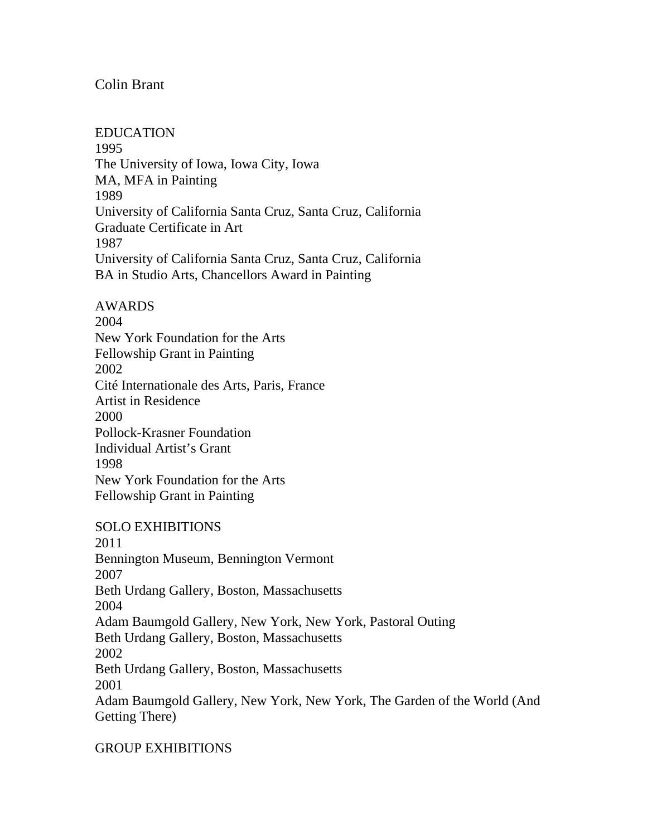## Colin Brant

EDUCATION 1995 The University of Iowa, Iowa City, Iowa MA, MFA in Painting 1989 University of California Santa Cruz, Santa Cruz, California Graduate Certificate in Art 1987 University of California Santa Cruz, Santa Cruz, California BA in Studio Arts, Chancellors Award in Painting

AWARDS 2004 New York Foundation for the Arts Fellowship Grant in Painting 2002 Cité Internationale des Arts, Paris, France Artist in Residence 2000 Pollock-Krasner Foundation Individual Artist's Grant 1998 New York Foundation for the Arts Fellowship Grant in Painting

SOLO EXHIBITIONS

2011 Bennington Museum, Bennington Vermont 2007 Beth Urdang Gallery, Boston, Massachusetts 2004 Adam Baumgold Gallery, New York, New York, Pastoral Outing Beth Urdang Gallery, Boston, Massachusetts 2002 Beth Urdang Gallery, Boston, Massachusetts 2001 Adam Baumgold Gallery, New York, New York, The Garden of the World (And Getting There)

GROUP EXHIBITIONS